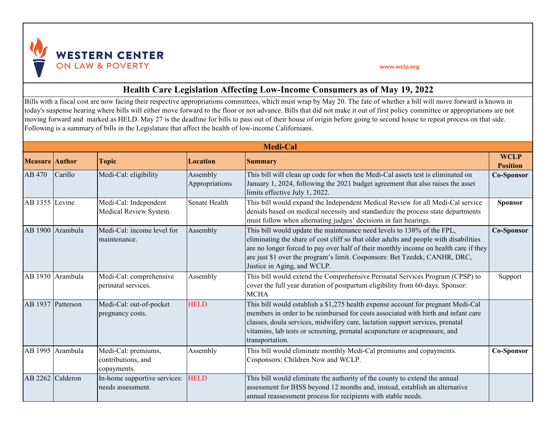

## www.wclp.org

## **Health Care Legislation Affecting Low-Income Consumers as of May 19, 2022**

Bills with a fiscal cost are now facing their respective appropriations committees, which must wrap by May 20. The fate of whether a bill will move forward is known in today's suspense hearing where bills will either move forward to the floor or not advance. Bills that did not make it out of first policy committee or appropriations are not moving forward and marked as HELD. May 27 is the deadline for bills to pass out of their house of origin before going to second house to repeat process on that side. Following is a summary of bills in the Legislature that affect the health of low-income Californians.

| <b>Medi-Cal</b>       |                  |                                                          |                            |                                                                                                                                                                                                                                                                                                                                                                      |                                |
|-----------------------|------------------|----------------------------------------------------------|----------------------------|----------------------------------------------------------------------------------------------------------------------------------------------------------------------------------------------------------------------------------------------------------------------------------------------------------------------------------------------------------------------|--------------------------------|
| <b>Measure Author</b> |                  | <b>Topic</b>                                             | <b>Location</b>            | <b>Summary</b>                                                                                                                                                                                                                                                                                                                                                       | <b>WCLP</b><br><b>Position</b> |
| AB 470                | Carillo          | Medi-Cal: eligibility                                    | Assembly<br>Appropriations | This bill will clean up code for when the Medi-Cal assets test is eliminated on<br>January 1, 2024, following the 2021 budget agreement that also raises the asset<br>limits effective July 1, 2022.                                                                                                                                                                 | Co-Sponsor                     |
| AB 1355               | Levine           | Medi-Cal: Independent<br>Medical Review System.          | Senate Health              | This bill would expand the Independent Medical Review for all Medi-Cal service<br>denials based on medical necessity and standardize the process state departments<br>must follow when alternating judges' decisions in fair hearings.                                                                                                                               | <b>Sponsor</b>                 |
|                       | AB 1900 Arambula | Medi-Cal: income level for<br>maintenance.               | Assembly                   | This bill would update the maintenance need levels to 138% of the FPL,<br>eliminating the share of cost cliff so that older adults and people with disabilities<br>are no longer forced to pay over half of their monthly income on health care if they<br>are just \$1 over the program's limit. Cosponsors: Bet Tzedek, CANHR, DRC,<br>Justice in Aging, and WCLP. | Co-Sponsor                     |
|                       | AB 1930 Arambula | Medi-Cal: comprehensive<br>perinatal services.           | Assembly                   | This bill would extend the Comprehensive Perinatal Services Program (CPSP) to<br>cover the full year duration of postpartum eligibility from 60-days. Sponsor:<br><b>MCHA</b>                                                                                                                                                                                        | Support                        |
| AB 1937 Patterson     |                  | Medi-Cal: out-of-pocket<br>pregnancy costs.              | <b>HELD</b>                | This bill would establish a \$1,275 health expense account for pregnant Medi-Cal<br>members in order to be reimbursed for costs associated with birth and infant care<br>classes, doula services, midwifery care, lactation support services, prenatal<br>vitamins, lab tests or screening, prenatal acupuncture or acupressure, and<br>transportation.              |                                |
|                       | AB 1995 Arambula | Medi-Cal: premiums,<br>contributions, and<br>copayments. | Assembly                   | This bill would eliminate monthly Medi-Cal premiums and copayments.<br>Cosponsors: Children Now and WCLP.                                                                                                                                                                                                                                                            | Co-Sponsor                     |
| AB 2262               | Calderon         | In-home supportive services:<br>needs assessment.        | <b>HELD</b>                | This bill would eliminate the authority of the county to extend the annual<br>assessment for IHSS beyond 12 months and, instead, establish an alternative<br>annual reassessment process for recipients with stable needs.                                                                                                                                           |                                |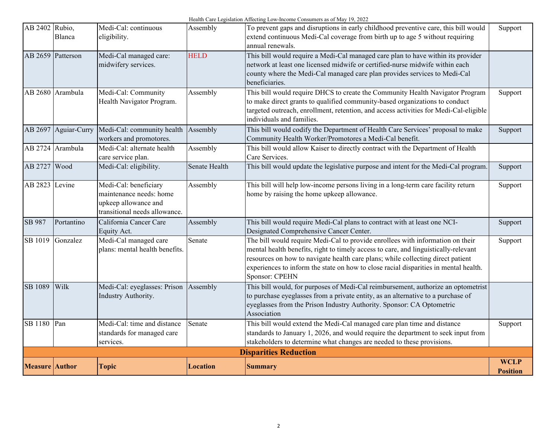| AB 2402 Rubio,               | Blanca           | Medi-Cal: continuous<br>eligibility.                                                                      | Assembly        | To prevent gaps and disruptions in early childhood preventive care, this bill would<br>extend continuous Medi-Cal coverage from birth up to age 5 without requiring<br>annual renewals.                                                                                                                                                                                   | Support                        |
|------------------------------|------------------|-----------------------------------------------------------------------------------------------------------|-----------------|---------------------------------------------------------------------------------------------------------------------------------------------------------------------------------------------------------------------------------------------------------------------------------------------------------------------------------------------------------------------------|--------------------------------|
| AB 2659 Patterson            |                  | Medi-Cal managed care:<br>midwifery services.                                                             | <b>HELD</b>     | This bill would require a Medi-Cal managed care plan to have within its provider<br>network at least one licensed midwife or certified-nurse midwife within each<br>county where the Medi-Cal managed care plan provides services to Medi-Cal<br>beneficiaries.                                                                                                           |                                |
|                              | AB 2680 Arambula | Medi-Cal: Community<br>Health Navigator Program.                                                          | Assembly        | This bill would require DHCS to create the Community Health Navigator Program<br>to make direct grants to qualified community-based organizations to conduct<br>targeted outreach, enrollment, retention, and access activities for Medi-Cal-eligible<br>individuals and families.                                                                                        | Support                        |
| AB 2697                      | Aguiar-Curry     | Medi-Cal: community health  <br>workers and promotores.                                                   | Assembly        | This bill would codify the Department of Health Care Services' proposal to make<br>Community Health Worker/Promotores a Medi-Cal benefit.                                                                                                                                                                                                                                 | Support                        |
|                              | AB 2724 Arambula | Medi-Cal: alternate health<br>care service plan.                                                          | Assembly        | This bill would allow Kaiser to directly contract with the Department of Health<br>Care Services.                                                                                                                                                                                                                                                                         |                                |
| AB 2727                      | Wood             | Medi-Cal: eligibility.                                                                                    | Senate Health   | This bill would update the legislative purpose and intent for the Medi-Cal program.                                                                                                                                                                                                                                                                                       | Support                        |
| AB 2823                      | Levine           | Medi-Cal: beneficiary<br>maintenance needs: home<br>upkeep allowance and<br>transitional needs allowance. | Assembly        | This bill will help low-income persons living in a long-term care facility return<br>home by raising the home upkeep allowance.                                                                                                                                                                                                                                           | Support                        |
| SB 987                       | Portantino       | California Cancer Care<br>Equity Act.                                                                     | Assembly        | This bill would require Medi-Cal plans to contract with at least one NCI-<br>Designated Comprehensive Cancer Center.                                                                                                                                                                                                                                                      | Support                        |
| SB 1019                      | Gonzalez         | Medi-Cal managed care<br>plans: mental health benefits.                                                   | Senate          | The bill would require Medi-Cal to provide enrollees with information on their<br>mental health benefits, right to timely access to care, and linguistically-relevant<br>resources on how to navigate health care plans; while collecting direct patient<br>experiences to inform the state on how to close racial disparities in mental health.<br><b>Sponsor: CPEHN</b> | Support                        |
| SB 1089                      | Wilk             | Medi-Cal: eyeglasses: Prison Assembly<br>Industry Authority.                                              |                 | This bill would, for purposes of Medi-Cal reimbursement, authorize an optometrist<br>to purchase eyeglasses from a private entity, as an alternative to a purchase of<br>eyeglasses from the Prison Industry Authority. Sponsor: CA Optometric<br>Association                                                                                                             |                                |
| SB 1180                      | Pan              | Medi-Cal: time and distance<br>standards for managed care<br>services.                                    | Senate          | This bill would extend the Medi-Cal managed care plan time and distance<br>standards to January 1, 2026, and would require the department to seek input from<br>stakeholders to determine what changes are needed to these provisions.                                                                                                                                    | Support                        |
| <b>Disparities Reduction</b> |                  |                                                                                                           |                 |                                                                                                                                                                                                                                                                                                                                                                           |                                |
| <b>Measure Author</b>        |                  | <b>Topic</b>                                                                                              | <b>Location</b> | <b>Summary</b>                                                                                                                                                                                                                                                                                                                                                            | <b>WCLP</b><br><b>Position</b> |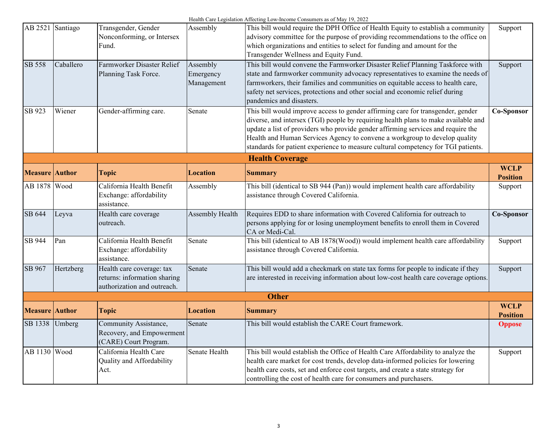| AB 2521               | Santiago  | Transgender, Gender                                         | Assembly        | This bill would require the DPH Office of Health Equity to establish a community     | Support                        |
|-----------------------|-----------|-------------------------------------------------------------|-----------------|--------------------------------------------------------------------------------------|--------------------------------|
|                       |           | Nonconforming, or Intersex                                  |                 | advisory committee for the purpose of providing recommendations to the office on     |                                |
|                       |           | Fund.                                                       |                 | which organizations and entities to select for funding and amount for the            |                                |
|                       |           |                                                             |                 | Transgender Wellness and Equity Fund.                                                |                                |
| <b>SB 558</b>         | Caballero | Farmworker Disaster Relief                                  | Assembly        | This bill would convene the Farmworker Disaster Relief Planning Taskforce with       | Support                        |
|                       |           | Planning Task Force.                                        | Emergency       | state and farmworker community advocacy representatives to examine the needs of      |                                |
|                       |           |                                                             | Management      | farmworkers, their families and communities on equitable access to health care,      |                                |
|                       |           |                                                             |                 | safety net services, protections and other social and economic relief during         |                                |
|                       |           |                                                             |                 | pandemics and disasters.                                                             |                                |
| SB 923                | Wiener    | Gender-affirming care.                                      | Senate          | This bill would improve access to gender affirming care for transgender, gender      | Co-Sponsor                     |
|                       |           |                                                             |                 | diverse, and intersex (TGI) people by requiring health plans to make available and   |                                |
|                       |           |                                                             |                 | update a list of providers who provide gender affirming services and require the     |                                |
|                       |           |                                                             |                 | Health and Human Services Agency to convene a workgroup to develop quality           |                                |
|                       |           |                                                             |                 | standards for patient experience to measure cultural competency for TGI patients.    |                                |
|                       |           |                                                             |                 | <b>Health Coverage</b>                                                               |                                |
| <b>Measure</b> Author |           | <b>Topic</b>                                                | <b>Location</b> | <b>Summary</b>                                                                       | <b>WCLP</b><br><b>Position</b> |
| AB 1878 Wood          |           | California Health Benefit                                   | Assembly        | This bill (identical to SB 944 (Pan)) would implement health care affordability      | Support                        |
|                       |           | Exchange: affordability                                     |                 | assistance through Covered California.                                               |                                |
|                       |           | assistance.                                                 |                 |                                                                                      |                                |
| SB 644                | Leyva     | Health care coverage                                        | Assembly Health | Requires EDD to share information with Covered California for outreach to            | Co-Sponsor                     |
|                       |           | outreach.                                                   |                 | persons applying for or losing unemployment benefits to enroll them in Covered       |                                |
|                       |           |                                                             |                 | CA or Medi-Cal.                                                                      |                                |
| SB 944                | Pan       | California Health Benefit                                   | Senate          | This bill (identical to AB 1878(Wood)) would implement health care affordability     | Support                        |
|                       |           | Exchange: affordability                                     |                 | assistance through Covered California.                                               |                                |
|                       |           | assistance.                                                 |                 |                                                                                      |                                |
| SB 967                | Hertzberg | Health care coverage: tax                                   | Senate          | This bill would add a checkmark on state tax forms for people to indicate if they    | Support                        |
|                       |           | returns: information sharing<br>authorization and outreach. |                 | are interested in receiving information about low-cost health care coverage options. |                                |
|                       |           |                                                             |                 | <b>Other</b>                                                                         |                                |
|                       |           |                                                             |                 |                                                                                      | <b>WCLP</b>                    |
| <b>Measure</b> Author |           | <b>Topic</b>                                                | <b>Location</b> | <b>Summary</b>                                                                       | <b>Position</b>                |
| SB 1338               | Umberg    | Community Assistance,                                       | Senate          | This bill would establish the CARE Court framework.                                  | <b>Oppose</b>                  |
|                       |           | Recovery, and Empowerment                                   |                 |                                                                                      |                                |
|                       |           | (CARE) Court Program.                                       |                 |                                                                                      |                                |
| AB 1130 Wood          |           | California Health Care                                      | Senate Health   | This bill would establish the Office of Health Care Affordability to analyze the     | Support                        |
|                       |           | Quality and Affordability                                   |                 | health care market for cost trends, develop data-informed policies for lowering      |                                |
|                       |           | Act.                                                        |                 | health care costs, set and enforce cost targets, and create a state strategy for     |                                |
|                       |           |                                                             |                 | controlling the cost of health care for consumers and purchasers.                    |                                |